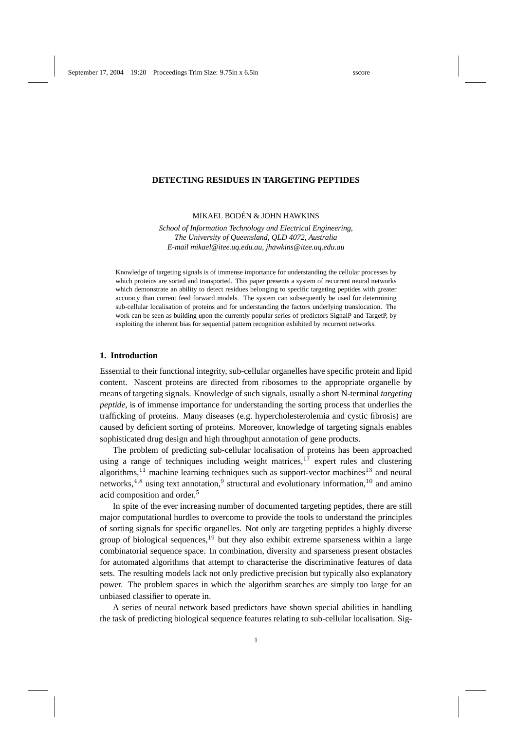# **DETECTING RESIDUES IN TARGETING PEPTIDES**

MIKAEL BODÉN & JOHN HAWKINS

*School of Information Technology and Electrical Engineering, The University of Queensland, QLD 4072, Australia E-mail mikael@itee.uq.edu.au, jhawkins@itee.uq.edu.au*

Knowledge of targeting signals is of immense importance for understanding the cellular processes by which proteins are sorted and transported. This paper presents a system of recurrent neural networks which demonstrate an ability to detect residues belonging to specific targeting peptides with greater accuracy than current feed forward models. The system can subsequently be used for determining sub-cellular localisation of proteins and for understanding the factors underlying translocation. The work can be seen as building upon the currently popular series of predictors SignalP and TargetP, by exploiting the inherent bias for sequential pattern recognition exhibited by recurrent networks.

# **1. Introduction**

Essential to their functional integrity, sub-cellular organelles have specific protein and lipid content. Nascent proteins are directed from ribosomes to the appropriate organelle by means of targeting signals. Knowledge of such signals, usually a short N-terminal *targeting peptide*, is of immense importance for understanding the sorting process that underlies the trafficking of proteins. Many diseases (e.g. hypercholesterolemia and cystic fibrosis) are caused by deficient sorting of proteins. Moreover, knowledge of targeting signals enables sophisticated drug design and high throughput annotation of gene products.

The problem of predicting sub-cellular localisation of proteins has been approached using a range of techniques including weight matrices, $17$  expert rules and clustering algorithms, $11$  machine learning techniques such as support-vector machines<sup>13</sup> and neural networks,  $4,8$  using text annotation,  $9$  structural and evolutionary information,  $10$  and amino acid composition and order.<sup>5</sup>

In spite of the ever increasing number of documented targeting peptides, there are still major computational hurdles to overcome to provide the tools to understand the principles of sorting signals for specific organelles. Not only are targeting peptides a highly diverse group of biological sequences,  $^{19}$  but they also exhibit extreme sparseness within a large combinatorial sequence space. In combination, diversity and sparseness present obstacles for automated algorithms that attempt to characterise the discriminative features of data sets. The resulting models lack not only predictive precision but typically also explanatory power. The problem spaces in which the algorithm searches are simply too large for an unbiased classifier to operate in.

A series of neural network based predictors have shown special abilities in handling the task of predicting biological sequence features relating to sub-cellular localisation. Sig-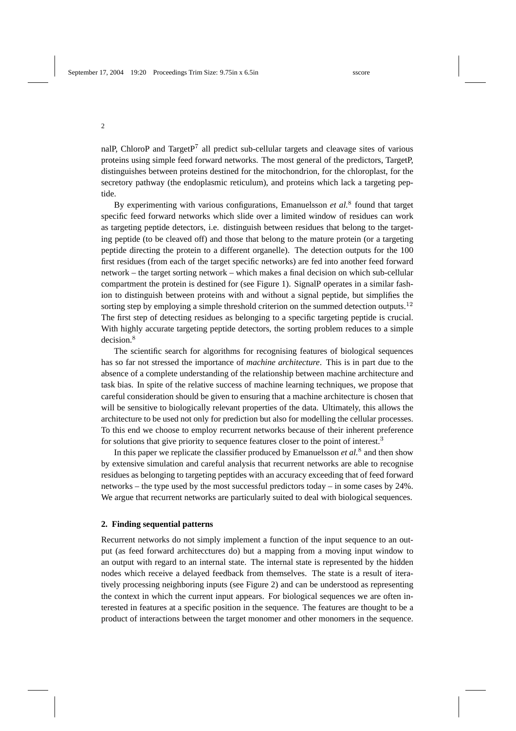nalP, ChloroP and TargetP<sup>7</sup> all predict sub-cellular targets and cleavage sites of various proteins using simple feed forward networks. The most general of the predictors, TargetP, distinguishes between proteins destined for the mitochondrion, for the chloroplast, for the secretory pathway (the endoplasmic reticulum), and proteins which lack a targeting peptide.

By experimenting with various configurations, Emanuelsson *et al.*<sup>8</sup> found that target specific feed forward networks which slide over a limited window of residues can work as targeting peptide detectors, i.e. distinguish between residues that belong to the targeting peptide (to be cleaved off) and those that belong to the mature protein (or a targeting peptide directing the protein to a different organelle). The detection outputs for the 100 first residues (from each of the target specific networks) are fed into another feed forward network – the target sorting network – which makes a final decision on which sub-cellular compartment the protein is destined for (see Figure 1). SignalP operates in a similar fashion to distinguish between proteins with and without a signal peptide, but simplifies the sorting step by employing a simple threshold criterion on the summed detection outputs.<sup>12</sup> The first step of detecting residues as belonging to a specific targeting peptide is crucial. With highly accurate targeting peptide detectors, the sorting problem reduces to a simple decision.<sup>8</sup>

The scientific search for algorithms for recognising features of biological sequences has so far not stressed the importance of *machine architecture*. This is in part due to the absence of a complete understanding of the relationship between machine architecture and task bias. In spite of the relative success of machine learning techniques, we propose that careful consideration should be given to ensuring that a machine architecture is chosen that will be sensitive to biologically relevant properties of the data. Ultimately, this allows the architecture to be used not only for prediction but also for modelling the cellular processes. To this end we choose to employ recurrent networks because of their inherent preference for solutions that give priority to sequence features closer to the point of interest.<sup>3</sup>

In this paper we replicate the classifier produced by Emanuelsson *et al.*<sup>8</sup> and then show by extensive simulation and careful analysis that recurrent networks are able to recognise residues as belonging to targeting peptides with an accuracy exceeding that of feed forward networks – the type used by the most successful predictors today – in some cases by 24%. We argue that recurrent networks are particularly suited to deal with biological sequences.

### **2. Finding sequential patterns**

Recurrent networks do not simply implement a function of the input sequence to an output (as feed forward architecctures do) but a mapping from a moving input window to an output with regard to an internal state. The internal state is represented by the hidden nodes which receive a delayed feedback from themselves. The state is a result of iteratively processing neighboring inputs (see Figure 2) and can be understood as representing the context in which the current input appears. For biological sequences we are often interested in features at a specific position in the sequence. The features are thought to be a product of interactions between the target monomer and other monomers in the sequence.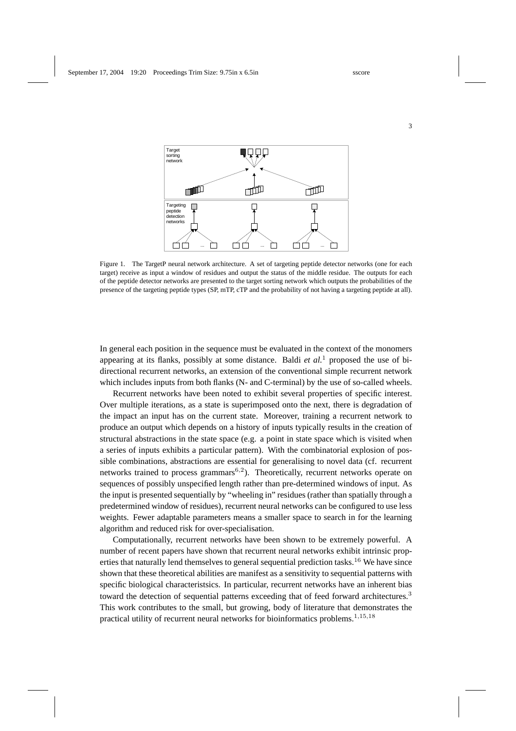

Figure 1. The TargetP neural network architecture. A set of targeting peptide detector networks (one for each target) receive as input a window of residues and output the status of the middle residue. The outputs for each of the peptide detector networks are presented to the target sorting network which outputs the probabilities of the presence of the targeting peptide types (SP, mTP, cTP and the probability of not having a targeting peptide at all).

In general each position in the sequence must be evaluated in the context of the monomers appearing at its flanks, possibly at some distance. Baldi *et al.*<sup>1</sup> proposed the use of bidirectional recurrent networks, an extension of the conventional simple recurrent network which includes inputs from both flanks (N- and C-terminal) by the use of so-called wheels.

Recurrent networks have been noted to exhibit several properties of specific interest. Over multiple iterations, as a state is superimposed onto the next, there is degradation of the impact an input has on the current state. Moreover, training a recurrent network to produce an output which depends on a history of inputs typically results in the creation of structural abstractions in the state space (e.g. a point in state space which is visited when a series of inputs exhibits a particular pattern). With the combinatorial explosion of possible combinations, abstractions are essential for generalising to novel data (cf. recurrent networks trained to process grammars $6,2$ ). Theoretically, recurrent networks operate on sequences of possibly unspecified length rather than pre-determined windows of input. As the input is presented sequentially by "wheeling in" residues (rather than spatially through a predetermined window of residues), recurrent neural networks can be configured to use less weights. Fewer adaptable parameters means a smaller space to search in for the learning algorithm and reduced risk for over-specialisation.

Computationally, recurrent networks have been shown to be extremely powerful. A number of recent papers have shown that recurrent neural networks exhibit intrinsic properties that naturally lend themselves to general sequential prediction tasks.<sup>16</sup> We have since shown that these theoretical abilities are manifest as a sensitivity to sequential patterns with specific biological characteristsics. In particular, recurrent networks have an inherent bias toward the detection of sequential patterns exceeding that of feed forward architectures.<sup>3</sup> This work contributes to the small, but growing, body of literature that demonstrates the practical utility of recurrent neural networks for bioinformatics problems.<sup>1,15,18</sup>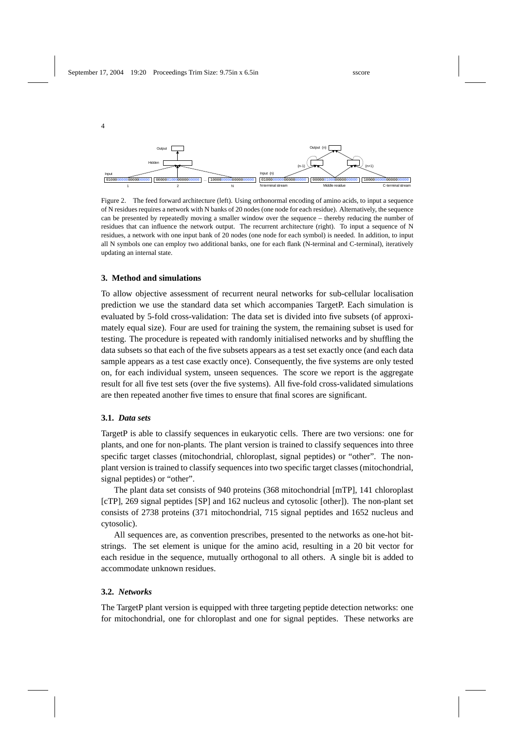

Figure 2. The feed forward architecture (left). Using orthonormal encoding of amino acids, to input a sequence of N residues requires a network with N banks of 20 nodes (one node for each residue). Alternatively, the sequence can be presented by repeatedly moving a smaller window over the sequence – thereby reducing the number of residues that can influence the network output. The recurrent architecture (right). To input a sequence of N residues, a network with one input bank of 20 nodes (one node for each symbol) is needed. In addition, to input all N symbols one can employ two additional banks, one for each flank (N-terminal and C-terminal), iteratively updating an internal state.

### **3. Method and simulations**

To allow objective assessment of recurrent neural networks for sub-cellular localisation prediction we use the standard data set which accompanies TargetP. Each simulation is evaluated by 5-fold cross-validation: The data set is divided into five subsets (of approximately equal size). Four are used for training the system, the remaining subset is used for testing. The procedure is repeated with randomly initialised networks and by shuffling the data subsets so that each of the five subsets appears as a test set exactly once (and each data sample appears as a test case exactly once). Consequently, the five systems are only tested on, for each individual system, unseen sequences. The score we report is the aggregate result for all five test sets (over the five systems). All five-fold cross-validated simulations are then repeated another five times to ensure that final scores are significant.

#### **3.1.** *Data sets*

TargetP is able to classify sequences in eukaryotic cells. There are two versions: one for plants, and one for non-plants. The plant version is trained to classify sequences into three specific target classes (mitochondrial, chloroplast, signal peptides) or "other". The nonplant version is trained to classify sequences into two specific target classes (mitochondrial, signal peptides) or "other".

The plant data set consists of 940 proteins (368 mitochondrial [mTP], 141 chloroplast [cTP], 269 signal peptides [SP] and 162 nucleus and cytosolic [other]). The non-plant set consists of 2738 proteins (371 mitochondrial, 715 signal peptides and 1652 nucleus and cytosolic).

All sequences are, as convention prescribes, presented to the networks as one-hot bitstrings. The set element is unique for the amino acid, resulting in a 20 bit vector for each residue in the sequence, mutually orthogonal to all others. A single bit is added to accommodate unknown residues.

### **3.2.** *Networks*

The TargetP plant version is equipped with three targeting peptide detection networks: one for mitochondrial, one for chloroplast and one for signal peptides. These networks are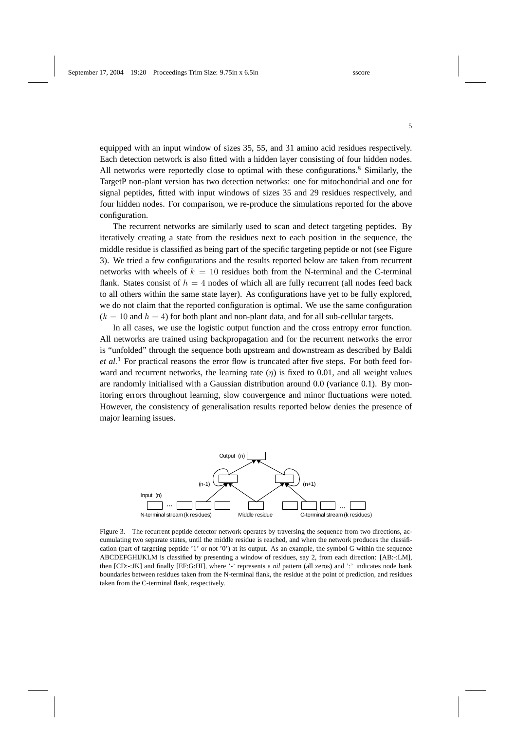equipped with an input window of sizes 35, 55, and 31 amino acid residues respectively. Each detection network is also fitted with a hidden layer consisting of four hidden nodes. All networks were reportedly close to optimal with these configurations.<sup>8</sup> Similarly, the TargetP non-plant version has two detection networks: one for mitochondrial and one for signal peptides, fitted with input windows of sizes 35 and 29 residues respectively, and four hidden nodes. For comparison, we re-produce the simulations reported for the above configuration.

The recurrent networks are similarly used to scan and detect targeting peptides. By iteratively creating a state from the residues next to each position in the sequence, the middle residue is classified as being part of the specific targeting peptide or not (see Figure 3). We tried a few configurations and the results reported below are taken from recurrent networks with wheels of  $k = 10$  residues both from the N-terminal and the C-terminal flank. States consist of  $h = 4$  nodes of which all are fully recurrent (all nodes feed back to all others within the same state layer). As configurations have yet to be fully explored, we do not claim that the reported configuration is optimal. We use the same configuration  $(k = 10$  and  $h = 4$ ) for both plant and non-plant data, and for all sub-cellular targets.

In all cases, we use the logistic output function and the cross entropy error function. All networks are trained using backpropagation and for the recurrent networks the error is "unfolded" through the sequence both upstream and downstream as described by Baldi  $et al.<sup>1</sup>$  For practical reasons the error flow is truncated after five steps. For both feed forward and recurrent networks, the learning rate  $(\eta)$  is fixed to 0.01, and all weight values are randomly initialised with a Gaussian distribution around 0.0 (variance 0.1). By monitoring errors throughout learning, slow convergence and minor fluctuations were noted. However, the consistency of generalisation results reported below denies the presence of major learning issues.



Figure 3. The recurrent peptide detector network operates by traversing the sequence from two directions, accumulating two separate states, until the middle residue is reached, and when the network produces the classification (part of targeting peptide '1' or not '0') at its output. As an example, the symbol G within the sequence ABCDEFGHIJKLM is classified by presenting a window of residues, say 2, from each direction: [AB:-:LM], then [CD:-:JK] and finally [EF:G:HI], where '-' represents a *nil* pattern (all zeros) and ':' indicates node bank boundaries between residues taken from the N-terminal flank, the residue at the point of prediction, and residues taken from the C-terminal flank, respectively.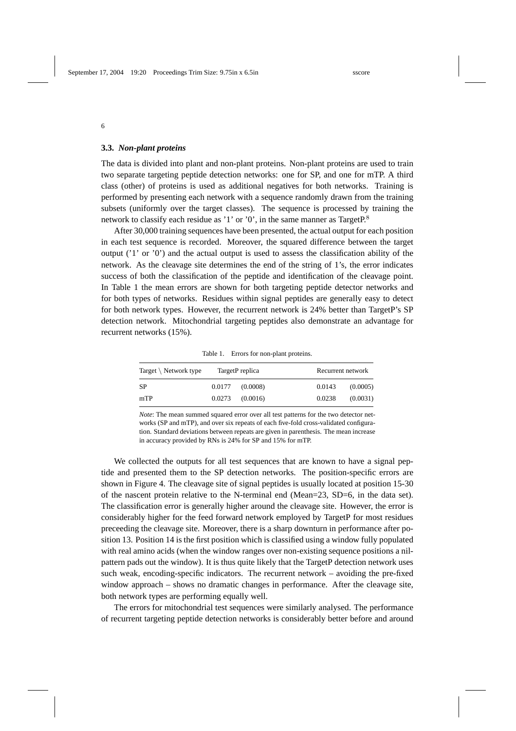# 6

### **3.3.** *Non-plant proteins*

The data is divided into plant and non-plant proteins. Non-plant proteins are used to train two separate targeting peptide detection networks: one for SP, and one for mTP. A third class (other) of proteins is used as additional negatives for both networks. Training is performed by presenting each network with a sequence randomly drawn from the training subsets (uniformly over the target classes). The sequence is processed by training the network to classify each residue as '1' or '0', in the same manner as TargetP.<sup>8</sup>

After 30,000 training sequences have been presented, the actual output for each position in each test sequence is recorded. Moreover, the squared difference between the target output  $(1')$  or  $(0')$  and the actual output is used to assess the classification ability of the network. As the cleavage site determines the end of the string of 1's, the error indicates success of both the classification of the peptide and identification of the cleavage point. In Table 1 the mean errors are shown for both targeting peptide detector networks and for both types of networks. Residues within signal peptides are generally easy to detect for both network types. However, the recurrent network is 24% better than TargetP's SP detection network. Mitochondrial targeting peptides also demonstrate an advantage for recurrent networks (15%).

Table 1. Errors for non-plant proteins.

| Target $\setminus$ Network type | TargetP replica |                     | Recurrent network |          |
|---------------------------------|-----------------|---------------------|-------------------|----------|
| <b>SP</b>                       |                 | $0.0177$ $(0.0008)$ | 0.0143            | (0.0005) |
| mTP                             | 0.0273          | (0.0016)            | 0.0238            | (0.0031) |

*Note*: The mean summed squared error over all test patterns for the two detector networks (SP and mTP), and over six repeats of each five-fold cross-validated configuration. Standard deviations between repeats are given in parenthesis. The mean increase in accuracy provided by RNs is 24% for SP and 15% for mTP.

We collected the outputs for all test sequences that are known to have a signal peptide and presented them to the SP detection networks. The position-specific errors are shown in Figure 4. The cleavage site of signal peptides is usually located at position 15-30 of the nascent protein relative to the N-terminal end (Mean=23, SD=6, in the data set). The classification error is generally higher around the cleavage site. However, the error is considerably higher for the feed forward network employed by TargetP for most residues preceeding the cleavage site. Moreover, there is a sharp downturn in performance after position 13. Position 14 is the first position which is classified using a window fully populated with real amino acids (when the window ranges over non-existing sequence positions a nilpattern pads out the window). It is thus quite likely that the TargetP detection network uses such weak, encoding-specific indicators. The recurrent network – avoiding the pre-fixed window approach – shows no dramatic changes in performance. After the cleavage site, both network types are performing equally well.

The errors for mitochondrial test sequences were similarly analysed. The performance of recurrent targeting peptide detection networks is considerably better before and around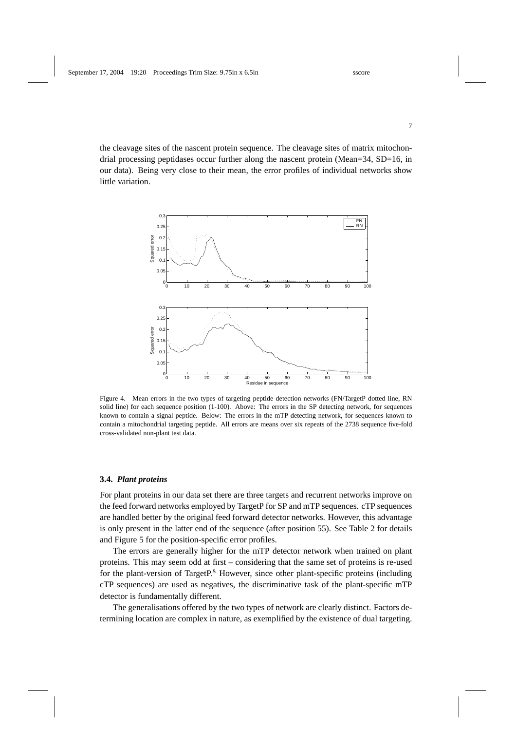the cleavage sites of the nascent protein sequence. The cleavage sites of matrix mitochondrial processing peptidases occur further along the nascent protein (Mean=34, SD=16, in our data). Being very close to their mean, the error profiles of individual networks show little variation.



Figure 4. Mean errors in the two types of targeting peptide detection networks (FN/TargetP dotted line, RN solid line) for each sequence position (1-100). Above: The errors in the SP detecting network, for sequences known to contain a signal peptide. Below: The errors in the mTP detecting network, for sequences known to contain a mitochondrial targeting peptide. All errors are means over six repeats of the 2738 sequence five-fold cross-validated non-plant test data.

### **3.4.** *Plant proteins*

For plant proteins in our data set there are three targets and recurrent networks improve on the feed forward networks employed by TargetP for SP and mTP sequences. cTP sequences are handled better by the original feed forward detector networks. However, this advantage is only present in the latter end of the sequence (after position 55). See Table 2 for details and Figure 5 for the position-specific error profiles.

The errors are generally higher for the mTP detector network when trained on plant proteins. This may seem odd at first – considering that the same set of proteins is re-used for the plant-version of TargetP.<sup>8</sup> However, since other plant-specific proteins (including cTP sequences) are used as negatives, the discriminative task of the plant-specific mTP detector is fundamentally different.

The generalisations offered by the two types of network are clearly distinct. Factors determining location are complex in nature, as exemplified by the existence of dual targeting.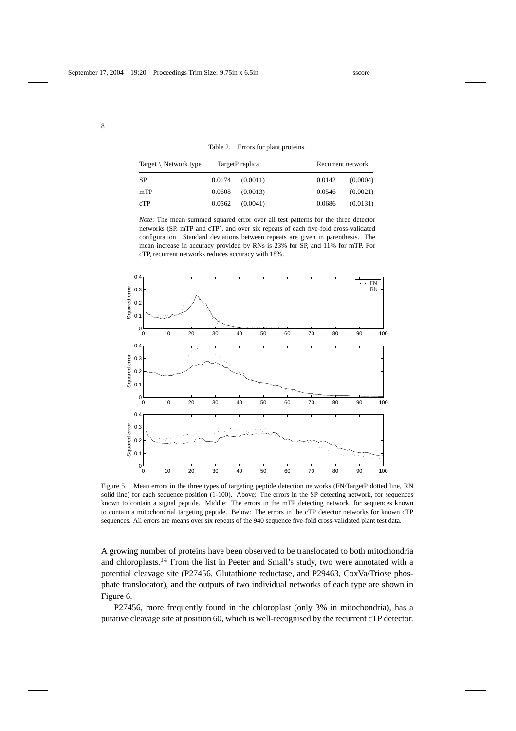8

Table 2. Errors for plant proteins.

| Target $\setminus$ Network type | TargetP replica |          |        | Recurrent network |  |
|---------------------------------|-----------------|----------|--------|-------------------|--|
| <b>SP</b>                       | 0.0174          | (0.0011) | 0.0142 | (0.0004)          |  |
| mTP                             | 0.0608          | (0.0013) | 0.0546 | (0.0021)          |  |
| cTP                             | 0.0562          | (0.0041) | 0.0686 | (0.0131)          |  |

*Note*: The mean summed squared error over all test patterns for the three detector networks (SP, mTP and cTP), and over six repeats of each five-fold cross-validated configuration. Standard deviations between repeats are given in parenthesis. The mean increase in accuracy provided by RNs is 23% for SP, and 11% for mTP. For cTP, recurrent networks reduces accuracy with 18%.



Figure 5. Mean errors in the three types of targeting peptide detection networks (FN/TargetP dotted line, RN solid line) for each sequence position (1-100). Above: The errors in the SP detecting network, for sequences known to contain a signal peptide. Middle: The errors in the mTP detecting network, for sequences known to contain a mitochondrial targeting peptide. Below: The errors in the cTP detector networks for known cTP sequences. All errors are means over six repeats of the 940 sequence five-fold cross-validated plant test data.

A growing number of proteins have been observed to be translocated to both mitochondria and chloroplasts.<sup>14</sup> From the list in Peeter and Small's study, two were annotated with a potential cleavage site (P27456, Glutathione reductase, and P29463, CoxVa/Triose phosphate translocator), and the outputs of two individual networks of each type are shown in Figure 6.

P27456, more frequently found in the chloroplast (only 3% in mitochondria), has a putative cleavage site at position 60, which is well-recognised by the recurrent cTP detector.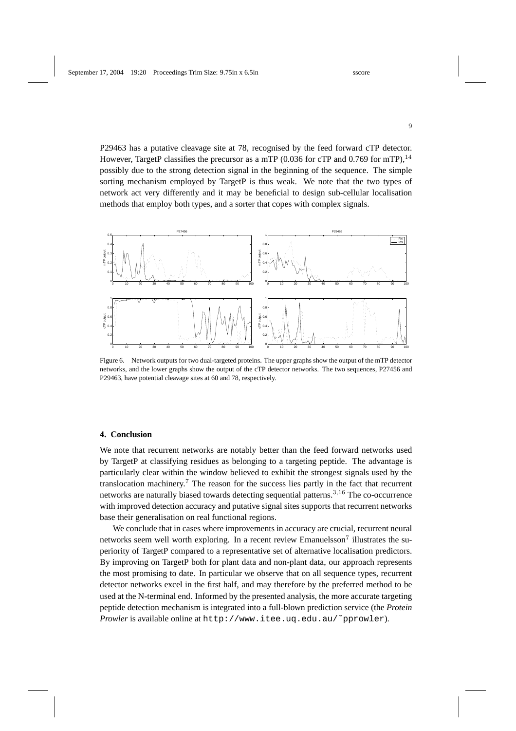P29463 has a putative cleavage site at 78, recognised by the feed forward cTP detector. However, TargetP classifies the precursor as a mTP (0.036 for cTP and 0.769 for mTP),  $^{14}$ possibly due to the strong detection signal in the beginning of the sequence. The simple sorting mechanism employed by TargetP is thus weak. We note that the two types of network act very differently and it may be beneficial to design sub-cellular localisation methods that employ both types, and a sorter that copes with complex signals.



Figure 6. Network outputs for two dual-targeted proteins. The upper graphs show the output of the mTP detector networks, and the lower graphs show the output of the cTP detector networks. The two sequences, P27456 and P29463, have potential cleavage sites at 60 and 78, respectively.

### **4. Conclusion**

We note that recurrent networks are notably better than the feed forward networks used by TargetP at classifying residues as belonging to a targeting peptide. The advantage is particularly clear within the window believed to exhibit the strongest signals used by the translocation machinery.<sup>7</sup> The reason for the success lies partly in the fact that recurrent networks are naturally biased towards detecting sequential patterns.<sup>3,16</sup> The co-occurrence with improved detection accuracy and putative signal sites supports that recurrent networks base their generalisation on real functional regions.

We conclude that in cases where improvements in accuracy are crucial, recurrent neural networks seem well worth exploring. In a recent review Emanuelsson<sup>7</sup> illustrates the superiority of TargetP compared to a representative set of alternative localisation predictors. By improving on TargetP both for plant data and non-plant data, our approach represents the most promising to date. In particular we observe that on all sequence types, recurrent detector networks excel in the first half, and may therefore by the preferred method to be used at the N-terminal end. Informed by the presented analysis, the more accurate targeting peptide detection mechanism is integrated into a full-blown prediction service (the *Protein Prowler* is available online at http://www.itee.uq.edu.au/˜pprowler).